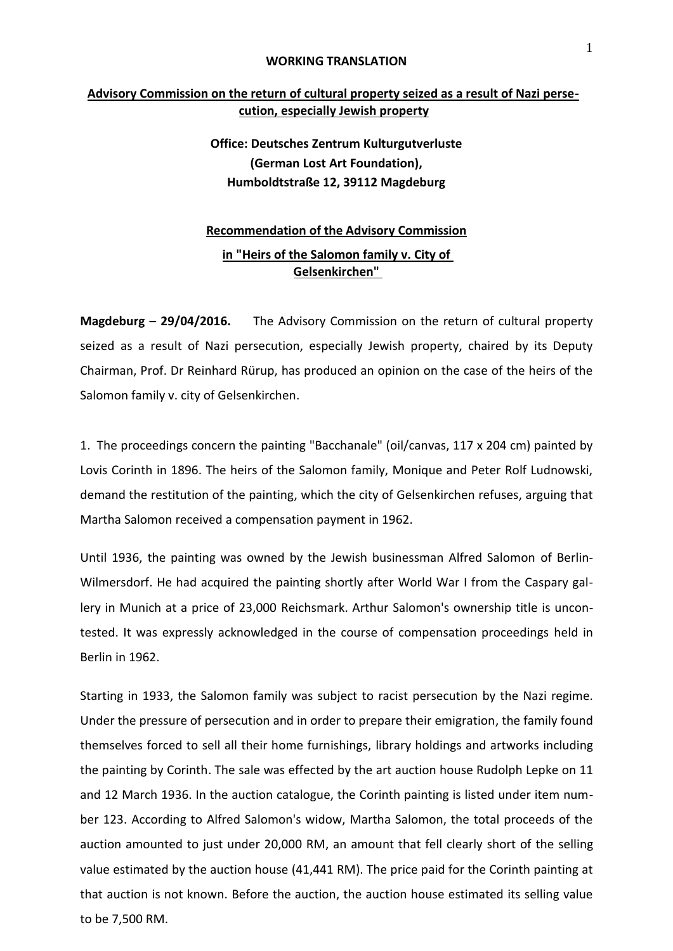## **WORKING TRANSLATION**

## **Advisory Commission on the return of cultural property seized as a result of Nazi persecution, especially Jewish property**

## **Office: Deutsches Zentrum Kulturgutverluste (German Lost Art Foundation), Humboldtstraße 12, 39112 Magdeburg**

## **Recommendation of the Advisory Commission in "Heirs of the Salomon family v. City of Gelsenkirchen"**

**Magdeburg – 29/04/2016.** The Advisory Commission on the return of cultural property seized as a result of Nazi persecution, especially Jewish property, chaired by its Deputy Chairman, Prof. Dr Reinhard Rürup, has produced an opinion on the case of the heirs of the Salomon family v. city of Gelsenkirchen.

1. The proceedings concern the painting "Bacchanale" (oil/canvas, 117 x 204 cm) painted by Lovis Corinth in 1896. The heirs of the Salomon family, Monique and Peter Rolf Ludnowski, demand the restitution of the painting, which the city of Gelsenkirchen refuses, arguing that Martha Salomon received a compensation payment in 1962.

Until 1936, the painting was owned by the Jewish businessman Alfred Salomon of Berlin-Wilmersdorf. He had acquired the painting shortly after World War I from the Caspary gallery in Munich at a price of 23,000 Reichsmark. Arthur Salomon's ownership title is uncontested. It was expressly acknowledged in the course of compensation proceedings held in Berlin in 1962.

Starting in 1933, the Salomon family was subject to racist persecution by the Nazi regime. Under the pressure of persecution and in order to prepare their emigration, the family found themselves forced to sell all their home furnishings, library holdings and artworks including the painting by Corinth. The sale was effected by the art auction house Rudolph Lepke on 11 and 12 March 1936. In the auction catalogue, the Corinth painting is listed under item number 123. According to Alfred Salomon's widow, Martha Salomon, the total proceeds of the auction amounted to just under 20,000 RM, an amount that fell clearly short of the selling value estimated by the auction house (41,441 RM). The price paid for the Corinth painting at that auction is not known. Before the auction, the auction house estimated its selling value to be 7,500 RM.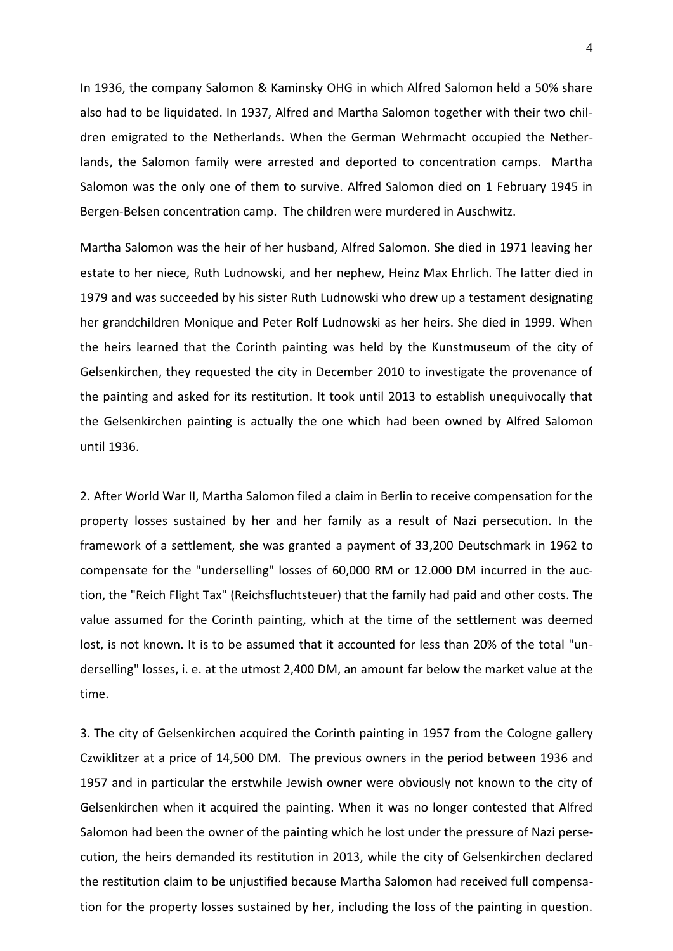In 1936, the company Salomon & Kaminsky OHG in which Alfred Salomon held a 50% share also had to be liquidated. In 1937, Alfred and Martha Salomon together with their two children emigrated to the Netherlands. When the German Wehrmacht occupied the Netherlands, the Salomon family were arrested and deported to concentration camps. Martha Salomon was the only one of them to survive. Alfred Salomon died on 1 February 1945 in Bergen-Belsen concentration camp. The children were murdered in Auschwitz.

Martha Salomon was the heir of her husband, Alfred Salomon. She died in 1971 leaving her estate to her niece, Ruth Ludnowski, and her nephew, Heinz Max Ehrlich. The latter died in 1979 and was succeeded by his sister Ruth Ludnowski who drew up a testament designating her grandchildren Monique and Peter Rolf Ludnowski as her heirs. She died in 1999. When the heirs learned that the Corinth painting was held by the Kunstmuseum of the city of Gelsenkirchen, they requested the city in December 2010 to investigate the provenance of the painting and asked for its restitution. It took until 2013 to establish unequivocally that the Gelsenkirchen painting is actually the one which had been owned by Alfred Salomon until 1936.

2. After World War II, Martha Salomon filed a claim in Berlin to receive compensation for the property losses sustained by her and her family as a result of Nazi persecution. In the framework of a settlement, she was granted a payment of 33,200 Deutschmark in 1962 to compensate for the "underselling" losses of 60,000 RM or 12.000 DM incurred in the auction, the "Reich Flight Tax" (Reichsfluchtsteuer) that the family had paid and other costs. The value assumed for the Corinth painting, which at the time of the settlement was deemed lost, is not known. It is to be assumed that it accounted for less than 20% of the total "underselling" losses, i. e. at the utmost 2,400 DM, an amount far below the market value at the time.

3. The city of Gelsenkirchen acquired the Corinth painting in 1957 from the Cologne gallery Czwiklitzer at a price of 14,500 DM. The previous owners in the period between 1936 and 1957 and in particular the erstwhile Jewish owner were obviously not known to the city of Gelsenkirchen when it acquired the painting. When it was no longer contested that Alfred Salomon had been the owner of the painting which he lost under the pressure of Nazi persecution, the heirs demanded its restitution in 2013, while the city of Gelsenkirchen declared the restitution claim to be unjustified because Martha Salomon had received full compensation for the property losses sustained by her, including the loss of the painting in question.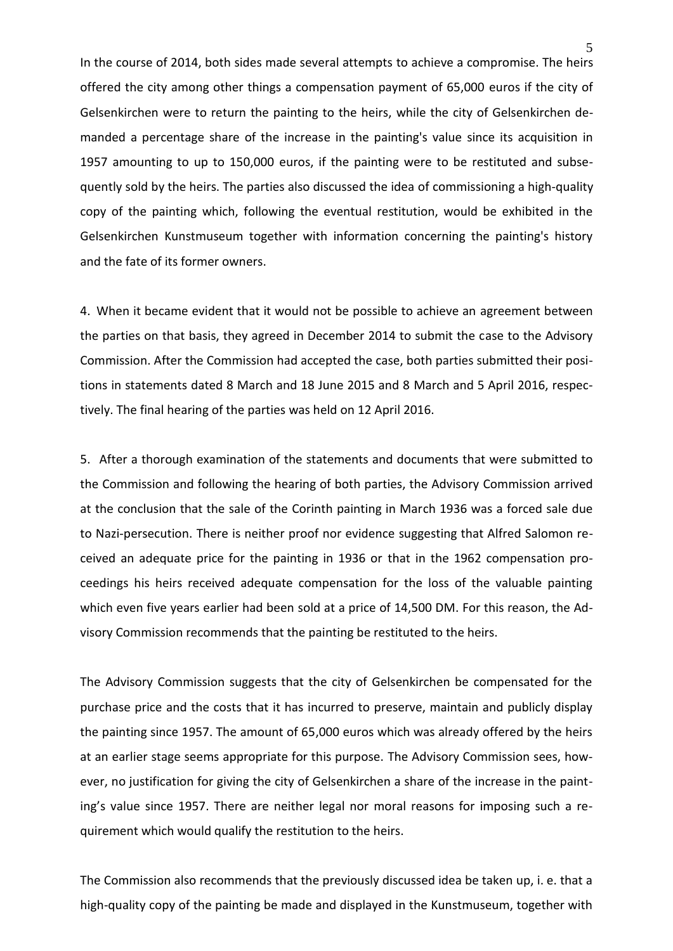In the course of 2014, both sides made several attempts to achieve a compromise. The heirs offered the city among other things a compensation payment of 65,000 euros if the city of Gelsenkirchen were to return the painting to the heirs, while the city of Gelsenkirchen demanded a percentage share of the increase in the painting's value since its acquisition in 1957 amounting to up to 150,000 euros, if the painting were to be restituted and subsequently sold by the heirs. The parties also discussed the idea of commissioning a high-quality copy of the painting which, following the eventual restitution, would be exhibited in the Gelsenkirchen Kunstmuseum together with information concerning the painting's history and the fate of its former owners.

4. When it became evident that it would not be possible to achieve an agreement between the parties on that basis, they agreed in December 2014 to submit the case to the Advisory Commission. After the Commission had accepted the case, both parties submitted their positions in statements dated 8 March and 18 June 2015 and 8 March and 5 April 2016, respectively. The final hearing of the parties was held on 12 April 2016.

5. After a thorough examination of the statements and documents that were submitted to the Commission and following the hearing of both parties, the Advisory Commission arrived at the conclusion that the sale of the Corinth painting in March 1936 was a forced sale due to Nazi-persecution. There is neither proof nor evidence suggesting that Alfred Salomon received an adequate price for the painting in 1936 or that in the 1962 compensation proceedings his heirs received adequate compensation for the loss of the valuable painting which even five years earlier had been sold at a price of 14,500 DM. For this reason, the Advisory Commission recommends that the painting be restituted to the heirs.

The Advisory Commission suggests that the city of Gelsenkirchen be compensated for the purchase price and the costs that it has incurred to preserve, maintain and publicly display the painting since 1957. The amount of 65,000 euros which was already offered by the heirs at an earlier stage seems appropriate for this purpose. The Advisory Commission sees, however, no justification for giving the city of Gelsenkirchen a share of the increase in the painting's value since 1957. There are neither legal nor moral reasons for imposing such a requirement which would qualify the restitution to the heirs.

The Commission also recommends that the previously discussed idea be taken up, i. e. that a high-quality copy of the painting be made and displayed in the Kunstmuseum, together with